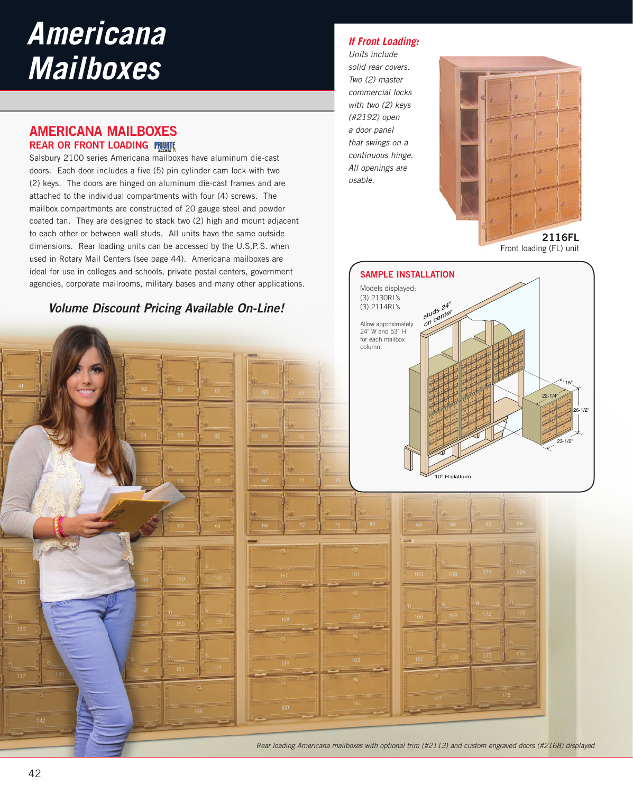# *Americana Mailboxes*

### **AMERICANA MAILBOXES REAR OR FRONT LOADING**

Salsbury 2100 series Americana mailboxes have aluminum die-cast doors. Each door includes a five (5) pin cylinder cam lock with two (2) keys. The doors are hinged on aluminum die-cast frames and are attached to the individual compartments with four (4) screws. The mailbox compartments are constructed of 20 gauge steel and powder coated tan. They are designed to stack two (2) high and mount adjacent to each other or between wall studs. All units have the same outside dimensions. Rear loading units can be accessed by the U.S.P.S. when used in Rotary Mail Centers (see page 44). Americana mailboxes are ideal for use in colleges and schools, private postal centers, government agencies, corporate mailrooms, military bases and many other applications.

**Volume Discount Pricing Available On-Line!** 

### *If Front Loading:*

*Units include solid rear covers. Two (2) master commercial locks with two (2) keys (#2192) open a door panel that swings on a continuous hinge. All openings are usable.*



Front loading (FL) unit



*Rear loading Americana mailboxes with optional trim (#2113) and custom engraved doors (#2168) displayed*